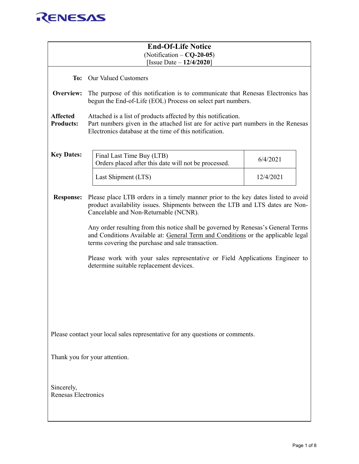

|                                     | <b>End-Of-Life Notice</b><br>$(Notification - CQ-20-05)$<br>[Issue Date $-12/4/2020$ ]                                                                                                                                                                                                                                                                                                                                                                                                                                                                               |           |  |
|-------------------------------------|----------------------------------------------------------------------------------------------------------------------------------------------------------------------------------------------------------------------------------------------------------------------------------------------------------------------------------------------------------------------------------------------------------------------------------------------------------------------------------------------------------------------------------------------------------------------|-----------|--|
|                                     | To: Our Valued Customers                                                                                                                                                                                                                                                                                                                                                                                                                                                                                                                                             |           |  |
| Overview:                           | The purpose of this notification is to communicate that Renesas Electronics has<br>begun the End-of-Life (EOL) Process on select part numbers.                                                                                                                                                                                                                                                                                                                                                                                                                       |           |  |
| <b>Affected</b><br><b>Products:</b> | Attached is a list of products affected by this notification.<br>Part numbers given in the attached list are for active part numbers in the Renesas<br>Electronics database at the time of this notification.                                                                                                                                                                                                                                                                                                                                                        |           |  |
| <b>Key Dates:</b>                   | Final Last Time Buy (LTB)<br>Orders placed after this date will not be processed.                                                                                                                                                                                                                                                                                                                                                                                                                                                                                    | 6/4/2021  |  |
|                                     | Last Shipment (LTS)                                                                                                                                                                                                                                                                                                                                                                                                                                                                                                                                                  | 12/4/2021 |  |
| <b>Response:</b>                    | Please place LTB orders in a timely manner prior to the key dates listed to avoid<br>product availability issues. Shipments between the LTB and LTS dates are Non-<br>Cancelable and Non-Returnable (NCNR).<br>Any order resulting from this notice shall be governed by Renesas's General Terms<br>and Conditions Available at: General Term and Conditions or the applicable legal<br>terms covering the purchase and sale transaction.<br>Please work with your sales representative or Field Applications Engineer to<br>determine suitable replacement devices. |           |  |
|                                     | Please contact your local sales representative for any questions or comments.                                                                                                                                                                                                                                                                                                                                                                                                                                                                                        |           |  |
|                                     | Thank you for your attention.                                                                                                                                                                                                                                                                                                                                                                                                                                                                                                                                        |           |  |
|                                     |                                                                                                                                                                                                                                                                                                                                                                                                                                                                                                                                                                      |           |  |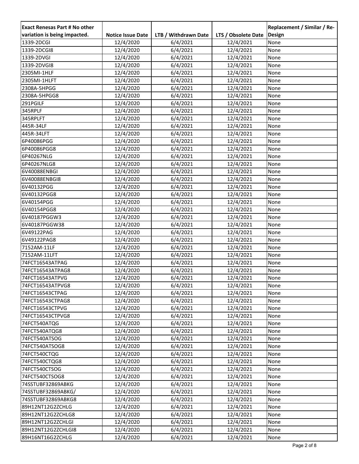| <b>Exact Renesas Part # No other</b> |                          |                      |                     | Replacement / Similar / Re- |
|--------------------------------------|--------------------------|----------------------|---------------------|-----------------------------|
| variation is being impacted.         | <b>Notice Issue Date</b> | LTB / Withdrawn Date | LTS / Obsolete Date | Design                      |
| 1339-2DCGI                           | 12/4/2020                | 6/4/2021             | 12/4/2021           | None                        |
| 1339-2DCGI8                          | 12/4/2020                | 6/4/2021             | 12/4/2021           | None                        |
| 1339-2DVGI                           | 12/4/2020                | 6/4/2021             | 12/4/2021           | None                        |
| 1339-2DVGI8                          | 12/4/2020                | 6/4/2021             | 12/4/2021           | None                        |
| 2305MI-1HLF                          | 12/4/2020                | 6/4/2021             | 12/4/2021           | None                        |
| 2305MI-1HLFT                         | 12/4/2020                | 6/4/2021             | 12/4/2021           | None                        |
| 2308A-5HPGG                          | 12/4/2020                | 6/4/2021             | 12/4/2021           | None                        |
| 2308A-5HPGG8                         | 12/4/2020                | 6/4/2021             | 12/4/2021           | None                        |
| 291PGILF                             | 12/4/2020                | 6/4/2021             | 12/4/2021           | None                        |
| 345RPLF                              | 12/4/2020                | 6/4/2021             | 12/4/2021           | None                        |
| 345RPLFT                             | 12/4/2020                | 6/4/2021             | 12/4/2021           | None                        |
| 445R-34LF                            | 12/4/2020                | 6/4/2021             | 12/4/2021           | None                        |
| 445R-34LFT                           | 12/4/2020                | 6/4/2021             | 12/4/2021           | None                        |
| 6P40086PGG                           | 12/4/2020                | 6/4/2021             | 12/4/2021           | None                        |
| 6P40086PGG8                          | 12/4/2020                | 6/4/2021             | 12/4/2021           | None                        |
| 6P40267NLG                           | 12/4/2020                | 6/4/2021             | 12/4/2021           | None                        |
| 6P40267NLG8                          | 12/4/2020                | 6/4/2021             | 12/4/2021           | None                        |
| 6V40088ENBGI                         | 12/4/2020                | 6/4/2021             | 12/4/2021           | None                        |
| 6V40088ENBGI8                        | 12/4/2020                | 6/4/2021             | 12/4/2021           | None                        |
| 6V40132PGG                           | 12/4/2020                | 6/4/2021             | 12/4/2021           | None                        |
| 6V40132PGG8                          | 12/4/2020                | 6/4/2021             | 12/4/2021           | None                        |
| 6V40154PGG                           | 12/4/2020                | 6/4/2021             | 12/4/2021           | None                        |
| 6V40154PGG8                          | 12/4/2020                | 6/4/2021             | 12/4/2021           | None                        |
| 6V40187PGGW3                         | 12/4/2020                | 6/4/2021             | 12/4/2021           | None                        |
| 6V40187PGGW38                        | 12/4/2020                | 6/4/2021             | 12/4/2021           | None                        |
| 6V49122PAG                           | 12/4/2020                | 6/4/2021             | 12/4/2021           | None                        |
| 6V49122PAG8                          | 12/4/2020                | 6/4/2021             | 12/4/2021           | None                        |
| 7152AM-11LF                          | 12/4/2020                | 6/4/2021             | 12/4/2021           | None                        |
| 7152AM-11LFT                         | 12/4/2020                | 6/4/2021             | 12/4/2021           | None                        |
| 74FCT16543ATPAG                      | 12/4/2020                | 6/4/2021             | 12/4/2021           | None                        |
| 74FCT16543ATPAG8                     | 12/4/2020                | 6/4/2021             | 12/4/2021           | None                        |
| 74FCT16543ATPVG                      | 12/4/2020                | 6/4/2021             | 12/4/2021           | None                        |
| 74FCT16543ATPVG8                     | 12/4/2020                | 6/4/2021             | 12/4/2021           | None                        |
| 74FCT16543CTPAG                      | 12/4/2020                | 6/4/2021             | 12/4/2021           | None                        |
| 74FCT16543CTPAG8                     | 12/4/2020                | 6/4/2021             | 12/4/2021           | None                        |
| 74FCT16543CTPVG                      | 12/4/2020                | 6/4/2021             | 12/4/2021           | None                        |
| 74FCT16543CTPVG8                     | 12/4/2020                | 6/4/2021             | 12/4/2021           | None                        |
| 74FCT540ATQG                         | 12/4/2020                | 6/4/2021             | 12/4/2021           | None                        |
| 74FCT540ATQG8                        | 12/4/2020                | 6/4/2021             | 12/4/2021           | None                        |
| 74FCT540ATSOG                        | 12/4/2020                | 6/4/2021             | 12/4/2021           | None                        |
| 74FCT540ATSOG8                       | 12/4/2020                | 6/4/2021             | 12/4/2021           | None                        |
| 74FCT540CTQG                         | 12/4/2020                | 6/4/2021             | 12/4/2021           | None                        |
| 74FCT540CTQG8                        | 12/4/2020                | 6/4/2021             | 12/4/2021           | None                        |
| 74FCT540CTSOG                        | 12/4/2020                | 6/4/2021             | 12/4/2021           | None                        |
| 74FCT540CTSOG8                       | 12/4/2020                | 6/4/2021             | 12/4/2021           | None                        |
| 74SSTUBF32869ABKG                    | 12/4/2020                | 6/4/2021             | 12/4/2021           | None                        |
| 74SSTUBF32869ABKG/                   | 12/4/2020                | 6/4/2021             | 12/4/2021           | None                        |
| 74SSTUBF32869ABKG8                   | 12/4/2020                | 6/4/2021             | 12/4/2021           | None                        |
| 89H12NT12G2ZCHLG                     | 12/4/2020                | 6/4/2021             | 12/4/2021           | None                        |
| 89H12NT12G2ZCHLG8                    | 12/4/2020                | 6/4/2021             | 12/4/2021           | None                        |
| 89H12NT12G2ZCHLGI                    | 12/4/2020                | 6/4/2021             | 12/4/2021           | None                        |
| 89H12NT12G2ZCHLGI8                   | 12/4/2020                | 6/4/2021             | 12/4/2021           | None                        |
| 89H16NT16G2ZCHLG                     | 12/4/2020                | 6/4/2021             | 12/4/2021           | None                        |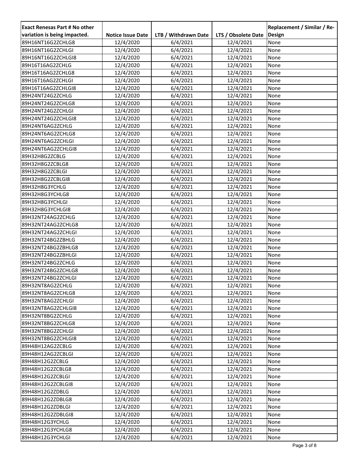| <b>Exact Renesas Part # No other</b> |                          |                      |                     | Replacement / Similar / Re- |
|--------------------------------------|--------------------------|----------------------|---------------------|-----------------------------|
| variation is being impacted.         | <b>Notice Issue Date</b> | LTB / Withdrawn Date | LTS / Obsolete Date | Design                      |
| 89H16NT16G2ZCHLG8                    | 12/4/2020                | 6/4/2021             | 12/4/2021           | None                        |
| 89H16NT16G2ZCHLGI                    | 12/4/2020                | 6/4/2021             | 12/4/2021           | None                        |
| 89H16NT16G2ZCHLGI8                   | 12/4/2020                | 6/4/2021             | 12/4/2021           | None                        |
| 89H16T16AG2ZCHLG                     | 12/4/2020                | 6/4/2021             | 12/4/2021           | None                        |
| 89H16T16AG2ZCHLG8                    | 12/4/2020                | 6/4/2021             | 12/4/2021           | None                        |
| 89H16T16AG2ZCHLGI                    | 12/4/2020                | 6/4/2021             | 12/4/2021           | None                        |
| 89H16T16AG2ZCHLGI8                   | 12/4/2020                | 6/4/2021             | 12/4/2021           | None                        |
| 89H24NT24G2ZCHLG                     | 12/4/2020                | 6/4/2021             | 12/4/2021           | None                        |
| 89H24NT24G2ZCHLG8                    | 12/4/2020                | 6/4/2021             | 12/4/2021           | None                        |
| 89H24NT24G2ZCHLGI                    | 12/4/2020                | 6/4/2021             | 12/4/2021           | None                        |
| 89H24NT24G2ZCHLGI8                   | 12/4/2020                | 6/4/2021             | 12/4/2021           | None                        |
| 89H24NT6AG2ZCHLG                     | 12/4/2020                | 6/4/2021             | 12/4/2021           | None                        |
| 89H24NT6AG2ZCHLG8                    | 12/4/2020                | 6/4/2021             | 12/4/2021           | None                        |
| 89H24NT6AG2ZCHLGI                    | 12/4/2020                | 6/4/2021             | 12/4/2021           | None                        |
| 89H24NT6AG2ZCHLGI8                   | 12/4/2020                | 6/4/2021             | 12/4/2021           | None                        |
| 89H32H8G2ZCBLG                       | 12/4/2020                | 6/4/2021             | 12/4/2021           | None                        |
| 89H32H8G2ZCBLG8                      | 12/4/2020                | 6/4/2021             | 12/4/2021           | None                        |
| 89H32H8G2ZCBLGI                      | 12/4/2020                | 6/4/2021             | 12/4/2021           | None                        |
| 89H32H8G2ZCBLGI8                     | 12/4/2020                | 6/4/2021             | 12/4/2021           | None                        |
| 89H32H8G3YCHLG                       | 12/4/2020                | 6/4/2021             | 12/4/2021           | None                        |
| 89H32H8G3YCHLG8                      | 12/4/2020                | 6/4/2021             | 12/4/2021           | None                        |
| 89H32H8G3YCHLGI                      | 12/4/2020                | 6/4/2021             | 12/4/2021           | None                        |
| 89H32H8G3YCHLGI8                     | 12/4/2020                | 6/4/2021             | 12/4/2021           | None                        |
| 89H32NT24AG2ZCHLG                    | 12/4/2020                | 6/4/2021             | 12/4/2021           | None                        |
| 89H32NT24AG2ZCHLG8                   | 12/4/2020                | 6/4/2021             | 12/4/2021           | None                        |
| 89H32NT24AG2ZCHLGI                   | 12/4/2020                | 6/4/2021             | 12/4/2021           | None                        |
| 89H32NT24BG2ZBHLG                    | 12/4/2020                | 6/4/2021             | 12/4/2021           | None                        |
| 89H32NT24BG2ZBHLG8                   | 12/4/2020                | 6/4/2021             | 12/4/2021           | None                        |
| 89H32NT24BG2ZBHLGI                   | 12/4/2020                | 6/4/2021             | 12/4/2021           | None                        |
| 89H32NT24BG2ZCHLG                    | 12/4/2020                | 6/4/2021             | 12/4/2021           | None                        |
| 89H32NT24BG2ZCHLG8                   | 12/4/2020                | 6/4/2021             | 12/4/2021           | None                        |
| 89H32NT24BG2ZCHLGI                   | 12/4/2020                | 6/4/2021             | 12/4/2021           | None                        |
| 89H32NT8AG2ZCHLG                     | 12/4/2020                | 6/4/2021             | 12/4/2021           | None                        |
| 89H32NT8AG2ZCHLG8                    | 12/4/2020                | 6/4/2021             | 12/4/2021           | None                        |
| 89H32NT8AG2ZCHLGI                    | 12/4/2020                | 6/4/2021             | 12/4/2021           | None                        |
| 89H32NT8AG2ZCHLGI8                   | 12/4/2020                | 6/4/2021             | 12/4/2021           | None                        |
| 89H32NT8BG2ZCHLG                     | 12/4/2020                | 6/4/2021             | 12/4/2021           | None                        |
| 89H32NT8BG2ZCHLG8                    | 12/4/2020                | 6/4/2021             | 12/4/2021           | None                        |
| 89H32NT8BG2ZCHLGI                    | 12/4/2020                | 6/4/2021             | 12/4/2021           | None                        |
| 89H32NT8BG2ZCHLGI8                   | 12/4/2020                | 6/4/2021             | 12/4/2021           | None                        |
| 89H48H12AG2ZCBLG                     | 12/4/2020                | 6/4/2021             | 12/4/2021           | None                        |
| 89H48H12AG2ZCBLGI                    | 12/4/2020                | 6/4/2021             | 12/4/2021           | None                        |
| 89H48H12G2ZCBLG                      | 12/4/2020                | 6/4/2021             | 12/4/2021           | None                        |
| 89H48H12G2ZCBLG8                     | 12/4/2020                | 6/4/2021             | 12/4/2021           | None                        |
| 89H48H12G2ZCBLGI                     | 12/4/2020                | 6/4/2021             | 12/4/2021           | None                        |
| 89H48H12G2ZCBLGI8                    | 12/4/2020                | 6/4/2021             | 12/4/2021           | None                        |
| 89H48H12G2ZDBLG                      | 12/4/2020                | 6/4/2021             | 12/4/2021           | None                        |
| 89H48H12G2ZDBLG8                     | 12/4/2020                | 6/4/2021             | 12/4/2021           | None                        |
| 89H48H12G2ZDBLGI                     | 12/4/2020                | 6/4/2021             | 12/4/2021           | None                        |
| 89H48H12G2ZDBLGI8                    | 12/4/2020                | 6/4/2021             | 12/4/2021           | None                        |
| 89H48H12G3YCHLG                      | 12/4/2020                | 6/4/2021             | 12/4/2021           | None                        |
| 89H48H12G3YCHLG8                     | 12/4/2020                | 6/4/2021             | 12/4/2021           | None                        |
| 89H48H12G3YCHLGI                     | 12/4/2020                | 6/4/2021             | 12/4/2021           | None                        |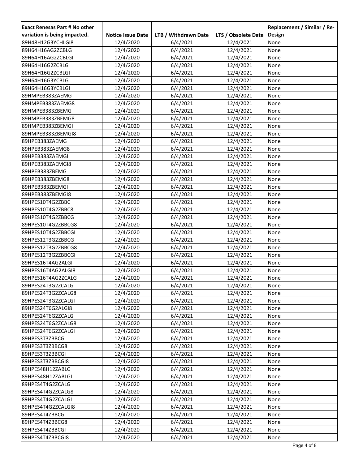| <b>Exact Renesas Part # No other</b> |                          |                      |                     | Replacement / Similar / Re- |
|--------------------------------------|--------------------------|----------------------|---------------------|-----------------------------|
| variation is being impacted.         | <b>Notice Issue Date</b> | LTB / Withdrawn Date | LTS / Obsolete Date | Design                      |
| 89H48H12G3YCHLGI8                    | 12/4/2020                | 6/4/2021             | 12/4/2021           | None                        |
| 89H64H16AG2ZCBLG                     | 12/4/2020                | 6/4/2021             | 12/4/2021           | None                        |
| 89H64H16AG2ZCBLGI                    | 12/4/2020                | 6/4/2021             | 12/4/2021           | None                        |
| 89H64H16G2ZCBLG                      | 12/4/2020                | 6/4/2021             | 12/4/2021           | None                        |
| 89H64H16G2ZCBLGI                     | 12/4/2020                | 6/4/2021             | 12/4/2021           | None                        |
| 89H64H16G3YCBLG                      | 12/4/2020                | 6/4/2021             | 12/4/2021           | None                        |
| 89H64H16G3YCBLGI                     | 12/4/2020                | 6/4/2021             | 12/4/2021           | None                        |
| 89HMPEB383ZAEMG                      | 12/4/2020                | 6/4/2021             | 12/4/2021           | None                        |
| 89HMPEB383ZAEMG8                     | 12/4/2020                | 6/4/2021             | 12/4/2021           | None                        |
| 89HMPEB383ZBEMG                      | 12/4/2020                | 6/4/2021             | 12/4/2021           | None                        |
| 89HMPEB383ZBEMG8                     | 12/4/2020                | 6/4/2021             | 12/4/2021           | None                        |
| 89HMPEB383ZBEMGI                     | 12/4/2020                | 6/4/2021             | 12/4/2021           | None                        |
| 89HMPEB383ZBEMGI8                    | 12/4/2020                | 6/4/2021             | 12/4/2021           | None                        |
| 89HPEB383ZAEMG                       | 12/4/2020                | 6/4/2021             | 12/4/2021           | None                        |
| 89HPEB383ZAEMG8                      | 12/4/2020                | 6/4/2021             | 12/4/2021           | None                        |
| 89HPEB383ZAEMGI                      | 12/4/2020                | 6/4/2021             | 12/4/2021           | None                        |
| 89HPEB383ZAEMGI8                     | 12/4/2020                | 6/4/2021             | 12/4/2021           | None                        |
| 89HPEB383ZBEMG                       | 12/4/2020                | 6/4/2021             | 12/4/2021           | None                        |
| 89HPEB383ZBEMG8                      | 12/4/2020                | 6/4/2021             | 12/4/2021           | None                        |
| 89HPEB383ZBEMGI                      | 12/4/2020                | 6/4/2021             | 12/4/2021           | None                        |
| 89HPEB383ZBEMGI8                     | 12/4/2020                | 6/4/2021             | 12/4/2021           | None                        |
| 89HPES10T4G2ZBBC                     | 12/4/2020                | 6/4/2021             | 12/4/2021           | None                        |
| 89HPES10T4G2ZBBC8                    | 12/4/2020                | 6/4/2021             | 12/4/2021           | None                        |
| 89HPES10T4G2ZBBCG                    | 12/4/2020                | 6/4/2021             | 12/4/2021           | None                        |
| 89HPES10T4G2ZBBCG8                   | 12/4/2020                | 6/4/2021             | 12/4/2021           | None                        |
| 89HPES10T4G2ZBBCGI                   | 12/4/2020                | 6/4/2021             | 12/4/2021           | None                        |
| 89HPES12T3G2ZBBCG                    | 12/4/2020                | 6/4/2021             | 12/4/2021           | None                        |
| 89HPES12T3G2ZBBCG8                   | 12/4/2020                | 6/4/2021             | 12/4/2021           | None                        |
| 89HPES12T3G2ZBBCGI                   | 12/4/2020                | 6/4/2021             | 12/4/2021           | None                        |
| 89HPES16T4AG2ALGI                    | 12/4/2020                | 6/4/2021             | 12/4/2021           | None                        |
| 89HPES16T4AG2ALGI8                   | 12/4/2020                | 6/4/2021             | 12/4/2021           | None                        |
| 89HPES16T4AG2ZCALG                   | 12/4/2020                | 6/4/2021             | 12/4/2021           | None                        |
| 89HPES24T3G2ZCALG                    | 12/4/2020                | 6/4/2021             | 12/4/2021           | None                        |
| 89HPES24T3G2ZCALG8                   | 12/4/2020                | 6/4/2021             | 12/4/2021           | None                        |
| 89HPES24T3G2ZCALGI                   | 12/4/2020                | 6/4/2021             | 12/4/2021           | None                        |
| 89HPES24T6G2ALGI8                    | 12/4/2020                | 6/4/2021             | 12/4/2021           | None                        |
| 89HPES24T6G2ZCALG                    | 12/4/2020                | 6/4/2021             | 12/4/2021           | None                        |
| 89HPES24T6G2ZCALG8                   | 12/4/2020                | 6/4/2021             | 12/4/2021           | None                        |
| 89HPES24T6G2ZCALGI                   | 12/4/2020                | 6/4/2021             | 12/4/2021           | None                        |
| 89HPES3T3ZBBCG                       | 12/4/2020                | 6/4/2021             | 12/4/2021           | None                        |
| 89HPES3T3ZBBCG8                      | 12/4/2020                | 6/4/2021             | 12/4/2021           | None                        |
| 89HPES3T3ZBBCGI                      | 12/4/2020                | 6/4/2021             | 12/4/2021           | None                        |
| 89HPES3T3ZBBCGI8                     | 12/4/2020                | 6/4/2021             | 12/4/2021           | None                        |
| 89HPES48H12ZABLG                     | 12/4/2020                | 6/4/2021             | 12/4/2021           | None                        |
| 89HPES48H12ZABLGI                    | 12/4/2020                | 6/4/2021             | 12/4/2021           | None                        |
| 89HPES4T4G2ZCALG                     | 12/4/2020                | 6/4/2021             | 12/4/2021           | None                        |
| 89HPES4T4G2ZCALG8                    | 12/4/2020                | 6/4/2021             | 12/4/2021           | None                        |
| 89HPES4T4G2ZCALGI                    | 12/4/2020                | 6/4/2021             | 12/4/2021           | None                        |
| 89HPES4T4G2ZCALGI8                   | 12/4/2020                | 6/4/2021             | 12/4/2021           | None                        |
| 89HPES4T4ZBBCG                       | 12/4/2020                | 6/4/2021             | 12/4/2021           | None                        |
| 89HPES4T4ZBBCG8                      | 12/4/2020                | 6/4/2021             | 12/4/2021           | None                        |
| 89HPES4T4ZBBCGI                      | 12/4/2020                | 6/4/2021             | 12/4/2021           | None                        |
| 89HPES4T4ZBBCGI8                     | 12/4/2020                | 6/4/2021             | 12/4/2021           | None                        |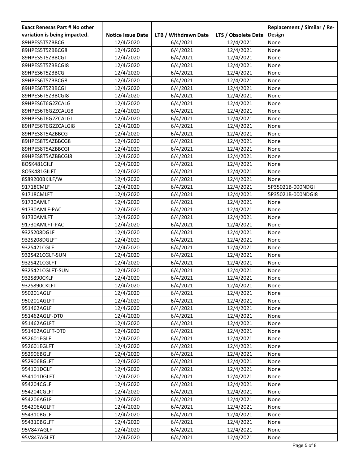| <b>Exact Renesas Part # No other</b> |                          |                      |                     | Replacement / Similar / Re- |
|--------------------------------------|--------------------------|----------------------|---------------------|-----------------------------|
| variation is being impacted.         | <b>Notice Issue Date</b> | LTB / Withdrawn Date | LTS / Obsolete Date | Design                      |
| 89HPES5T5ZBBCG                       | 12/4/2020                | 6/4/2021             | 12/4/2021           | None                        |
| 89HPES5T5ZBBCG8                      | 12/4/2020                | 6/4/2021             | 12/4/2021           | None                        |
| 89HPES5T5ZBBCGI                      | 12/4/2020                | 6/4/2021             | 12/4/2021           | None                        |
| 89HPES5T5ZBBCGI8                     | 12/4/2020                | 6/4/2021             | 12/4/2021           | None                        |
| 89HPES6T5ZBBCG                       | 12/4/2020                | 6/4/2021             | 12/4/2021           | None                        |
| 89HPES6T5ZBBCG8                      | 12/4/2020                | 6/4/2021             | 12/4/2021           | None                        |
| 89HPES6T5ZBBCGI                      | 12/4/2020                | 6/4/2021             | 12/4/2021           | None                        |
| 89HPES6T5ZBBCGI8                     | 12/4/2020                | 6/4/2021             | 12/4/2021           | None                        |
| 89HPES6T6G2ZCALG                     | 12/4/2020                | 6/4/2021             | 12/4/2021           | None                        |
| 89HPES6T6G2ZCALG8                    | 12/4/2020                | 6/4/2021             | 12/4/2021           | None                        |
| 89HPES6T6G2ZCALGI                    | 12/4/2020                | 6/4/2021             | 12/4/2021           | None                        |
| 89HPES6T6G2ZCALGI8                   | 12/4/2020                | 6/4/2021             | 12/4/2021           | None                        |
| 89HPES8T5AZBBCG                      | 12/4/2020                | 6/4/2021             | 12/4/2021           | None                        |
| 89HPES8T5AZBBCG8                     | 12/4/2020                | 6/4/2021             | 12/4/2021           | None                        |
| 89HPES8T5AZBBCGI                     | 12/4/2020                | 6/4/2021             | 12/4/2021           | None                        |
| 89HPES8T5AZBBCGI8                    | 12/4/2020                | 6/4/2021             | 12/4/2021           | None                        |
| 8OSK481GILF                          | 12/4/2020                | 6/4/2021             | 12/4/2021           | None                        |
| 8OSK481GILFT                         | 12/4/2020                | 6/4/2021             | 12/4/2021           | None                        |
| 8S89200BKILF/W                       | 12/4/2020                | 6/4/2021             | 12/4/2021           | None                        |
| 91718CMLF                            | 12/4/2020                | 6/4/2021             | 12/4/2021           | 5P35021B-000NDGI            |
| 91718CMLFT                           | 12/4/2020                | 6/4/2021             | 12/4/2021           | 5P35021B-000NDGI8           |
| 91730AMLF                            | 12/4/2020                | 6/4/2021             | 12/4/2021           | None                        |
| 91730AMLF-PAC                        | 12/4/2020                | 6/4/2021             | 12/4/2021           | None                        |
| 91730AMLFT                           | 12/4/2020                | 6/4/2021             | 12/4/2021           | None                        |
| 91730AMLFT-PAC                       | 12/4/2020                | 6/4/2021             | 12/4/2021           | None                        |
| 932S208DGLF                          | 12/4/2020                | 6/4/2021             | 12/4/2021           | None                        |
| 932S208DGLFT                         | 12/4/2020                | 6/4/2021             | 12/4/2021           | None                        |
| 932S421CGLF                          | 12/4/2020                | 6/4/2021             | 12/4/2021           | None                        |
| 932S421CGLF-SUN                      | 12/4/2020                | 6/4/2021             | 12/4/2021           | None                        |
| 932S421CGLFT                         | 12/4/2020                | 6/4/2021             | 12/4/2021           | None                        |
| 932S421CGLFT-SUN                     | 12/4/2020                | 6/4/2021             | 12/4/2021           | None                        |
| 932S890CKLF                          | 12/4/2020                | 6/4/2021             | 12/4/2021           | None                        |
| 932S890CKLFT                         | 12/4/2020                | 6/4/2021             | 12/4/2021           | None                        |
| 950201AGLF                           | 12/4/2020                | 6/4/2021             | 12/4/2021           | None                        |
| 950201AGLFT                          | 12/4/2020                | 6/4/2021             | 12/4/2021           | None                        |
| 951462AGLF                           | 12/4/2020                | 6/4/2021             | 12/4/2021           | None                        |
| 951462AGLF-DT0                       | 12/4/2020                | 6/4/2021             | 12/4/2021           | None                        |
| 951462AGLFT                          | 12/4/2020                | 6/4/2021             | 12/4/2021           | None                        |
| 951462AGLFT-DT0                      | 12/4/2020                | 6/4/2021             | 12/4/2021           | None                        |
| 952601EGLF                           | 12/4/2020                | 6/4/2021             | 12/4/2021           | None                        |
| 952601EGLFT                          | 12/4/2020                | 6/4/2021             | 12/4/2021           | None                        |
| 952906BGLF                           | 12/4/2020                | 6/4/2021             | 12/4/2021           | None                        |
| 952906BGLFT                          | 12/4/2020                | 6/4/2021             | 12/4/2021           | None                        |
| 954101DGLF                           | 12/4/2020                | 6/4/2021             | 12/4/2021           | None                        |
| 954101DGLFT                          | 12/4/2020                | 6/4/2021             | 12/4/2021           | None                        |
| 954204CGLF                           | 12/4/2020                | 6/4/2021             | 12/4/2021           | None                        |
| 954204CGLFT                          | 12/4/2020                | 6/4/2021             | 12/4/2021           | None                        |
| 954206AGLF                           | 12/4/2020                | 6/4/2021             | 12/4/2021           | None                        |
| 954206AGLFT                          | 12/4/2020                | 6/4/2021             | 12/4/2021           | None                        |
| 954310BGLF                           | 12/4/2020                | 6/4/2021             | 12/4/2021           | None                        |
| 954310BGLFT                          | 12/4/2020                | 6/4/2021             | 12/4/2021           | None                        |
| 95V847AGLF                           | 12/4/2020                | 6/4/2021             | 12/4/2021           | None                        |
| 95V847AGLFT                          | 12/4/2020                | 6/4/2021             | 12/4/2021           | None                        |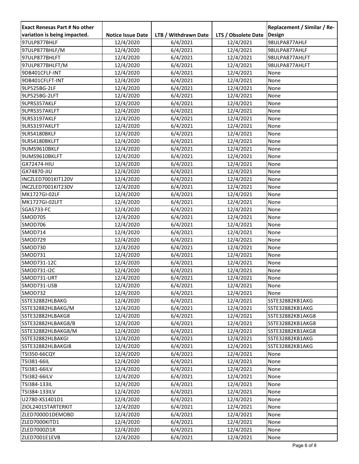| <b>Exact Renesas Part # No other</b> |                          |                      |                     | Replacement / Similar / Re- |
|--------------------------------------|--------------------------|----------------------|---------------------|-----------------------------|
| variation is being impacted.         | <b>Notice Issue Date</b> | LTB / Withdrawn Date | LTS / Obsolete Date | Design                      |
| 97ULP877BHLF                         | 12/4/2020                | 6/4/2021             | 12/4/2021           | 98ULPA877AHLF               |
| 97ULP877BHLF/M                       | 12/4/2020                | 6/4/2021             | 12/4/2021           | 98ULPA877AHLF               |
| 97ULP877BHLFT                        | 12/4/2020                | 6/4/2021             | 12/4/2021           | 98ULPA877AHLFT              |
| 97ULP877BHLFT/M                      | 12/4/2020                | 6/4/2021             | 12/4/2021           | 98ULPA877AHLFT              |
| 9DB401CFLF-INT                       | 12/4/2020                | 6/4/2021             | 12/4/2021           | None                        |
| 9DB401CFLFT-INT                      | 12/4/2020                | 6/4/2021             | 12/4/2021           | None                        |
| 9LP525BG-2LF                         | 12/4/2020                | 6/4/2021             | 12/4/2021           | None                        |
| 9LP525BG-2LFT                        | 12/4/2020                | 6/4/2021             | 12/4/2021           | None                        |
| 9LPRS357AKLF                         | 12/4/2020                | 6/4/2021             | 12/4/2021           | None                        |
| 9LPRS357AKLFT                        | 12/4/2020                | 6/4/2021             | 12/4/2021           | None                        |
| 9LRS3197AKLF                         | 12/4/2020                | 6/4/2021             | 12/4/2021           | None                        |
| 9LRS3197AKLFT                        | 12/4/2020                | 6/4/2021             | 12/4/2021           | None                        |
| 9LRS4180BKLF                         | 12/4/2020                | 6/4/2021             | 12/4/2021           | None                        |
| 9LRS4180BKLFT                        | 12/4/2020                | 6/4/2021             | 12/4/2021           | None                        |
| 9UMS9610BKLF                         | 12/4/2020                | 6/4/2021             | 12/4/2021           | None                        |
| 9UMS9610BKLFT                        | 12/4/2020                | 6/4/2021             | 12/4/2021           | None                        |
| GX72474-HIU                          | 12/4/2020                | 6/4/2021             | 12/4/2021           | None                        |
| GX74870-JIU                          | 12/4/2020                | 6/4/2021             | 12/4/2021           | None                        |
| INCZLED7001KIT120V                   | 12/4/2020                | 6/4/2021             | 12/4/2021           | None                        |
| INCZLED7001KIT230V                   | 12/4/2020                | 6/4/2021             | 12/4/2021           | None                        |
| MK1727GI-02LF                        | 12/4/2020                | 6/4/2021             | 12/4/2021           | None                        |
| MK1727GI-02LFT                       | 12/4/2020                | 6/4/2021             | 12/4/2021           | None                        |
| SGAS733-FC                           | 12/4/2020                | 6/4/2021             | 12/4/2021           | None                        |
| <b>SMOD705</b>                       | 12/4/2020                | 6/4/2021             | 12/4/2021           | None                        |
| SMOD706                              | 12/4/2020                | 6/4/2021             | 12/4/2021           | None                        |
| <b>SMOD714</b>                       | 12/4/2020                | 6/4/2021             | 12/4/2021           | None                        |
| SMOD729                              | 12/4/2020                | 6/4/2021             | 12/4/2021           | None                        |
| SMOD730                              | 12/4/2020                | 6/4/2021             | 12/4/2021           | None                        |
| SMOD731                              | 12/4/2020                | 6/4/2021             | 12/4/2021           | None                        |
| SMOD731-12C                          | 12/4/2020                | 6/4/2021             | 12/4/2021           | None                        |
| SMOD731-I2C                          | 12/4/2020                | 6/4/2021             | 12/4/2021           | None                        |
| SMOD731-URT                          | 12/4/2020                | 6/4/2021             | 12/4/2021           | None                        |
| SMOD731-USB                          | 12/4/2020                | 6/4/2021             | 12/4/2021           | None                        |
| SMOD732                              | 12/4/2020                | 6/4/2021             | 12/4/2021           | None                        |
| SSTE32882HLBAKG                      | 12/4/2020                | 6/4/2021             | 12/4/2021           | SSTE32882KB1AKG             |
| SSTE32882HLBAKG/M                    | 12/4/2020                | 6/4/2021             | 12/4/2021           | SSTE32882KB1AKG             |
| SSTE32882HLBAKG8                     | 12/4/2020                | 6/4/2021             | 12/4/2021           | SSTE32882KB1AKG8            |
| SSTE32882HLBAKG8/B                   | 12/4/2020                | 6/4/2021             | 12/4/2021           | SSTE32882KB1AKG8            |
| SSTE32882HLBAKG8/M                   | 12/4/2020                | 6/4/2021             | 12/4/2021           | SSTE32882KB1AKG8            |
| SSTE32882HLBAKGI                     | 12/4/2020                | 6/4/2021             | 12/4/2021           | SSTE32882KB1AKG             |
| SSTE32882HLBAKGI8                    | 12/4/2020                | 6/4/2021             | 12/4/2021           | SSTE32882KB1AKG             |
| <b>TSI350-66CQY</b>                  | 12/4/2020                | 6/4/2021             | 12/4/2021           | None                        |
| TSI381-66IL                          | 12/4/2020                | 6/4/2021             | 12/4/2021           | None                        |
| TSI381-66ILV                         | 12/4/2020                | 6/4/2021             | 12/4/2021           | None                        |
| TSI382-66ILV                         | 12/4/2020                | 6/4/2021             | 12/4/2021           | None                        |
| TSI384-133IL                         | 12/4/2020                | 6/4/2021             | 12/4/2021           | None                        |
| TSI384-133ILV                        | 12/4/2020                | 6/4/2021             | 12/4/2021           | None                        |
| U2780-XS1401D1                       | 12/4/2020                | 6/4/2021             | 12/4/2021           | None                        |
| ZIOL2401STARTERKIT                   | 12/4/2020                | 6/4/2021             | 12/4/2021           | None                        |
| ZLED7000D1DEMOBD                     | 12/4/2020                | 6/4/2021             | 12/4/2021           | None                        |
| ZLED7000KITD1                        | 12/4/2020                | 6/4/2021             | 12/4/2021           | None                        |
| ZLED7000ZI1R                         | 12/4/2020                | 6/4/2021             | 12/4/2021           | None                        |
| ZLED7001E1EVB                        | 12/4/2020                | 6/4/2021             | 12/4/2021           | None                        |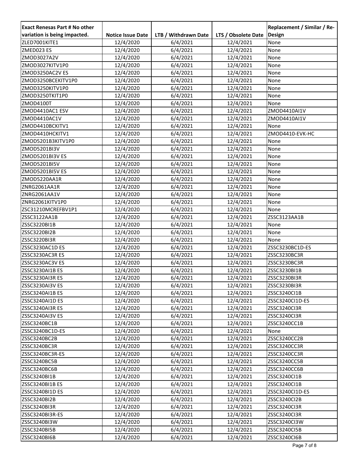| <b>Exact Renesas Part # No other</b> |                          |                      |                     | Replacement / Similar / Re- |
|--------------------------------------|--------------------------|----------------------|---------------------|-----------------------------|
| variation is being impacted.         | <b>Notice Issue Date</b> | LTB / Withdrawn Date | LTS / Obsolete Date | <b>Design</b>               |
| ZLED7001KITE1                        | 12/4/2020                | 6/4/2021             | 12/4/2021           | None                        |
| ZMED023 ES                           | 12/4/2020                | 6/4/2021             | 12/4/2021           | None                        |
| ZMOD3027A2V                          | 12/4/2020                | 6/4/2021             | 12/4/2021           | None                        |
| ZMOD3027KITV1P0                      | 12/4/2020                | 6/4/2021             | 12/4/2021           | None                        |
| ZMOD3250AC2V ES                      | 12/4/2020                | 6/4/2021             | 12/4/2021           | None                        |
| ZMOD3250BCEKITV1P0                   | 12/4/2020                | 6/4/2021             | 12/4/2021           | None                        |
| ZMOD3250KITV1P0                      | 12/4/2020                | 6/4/2021             | 12/4/2021           | None                        |
| ZMOD3250TKIT1P0                      | 12/4/2020                | 6/4/2021             | 12/4/2021           | None                        |
| ZMOD4100T                            | 12/4/2020                | 6/4/2021             | 12/4/2021           | None                        |
| ZMOD4410AC1 ESV                      | 12/4/2020                | 6/4/2021             | 12/4/2021           | ZMOD4410AI1V                |
| ZMOD4410AC1V                         | 12/4/2020                | 6/4/2021             | 12/4/2021           | ZMOD4410AI1V                |
| ZMOD4410BCKITV1                      | 12/4/2020                | 6/4/2021             | 12/4/2021           | None                        |
| ZMOD4410HCKITV1                      | 12/4/2020                | 6/4/2021             | 12/4/2021           | ZMOD4410-EVK-HC             |
| ZMOD5201B3KITV1P0                    | 12/4/2020                | 6/4/2021             | 12/4/2021           | None                        |
| ZMOD5201BI3V                         | 12/4/2020                | 6/4/2021             | 12/4/2021           | None                        |
| ZMOD5201BI3V ES                      | 12/4/2020                | 6/4/2021             | 12/4/2021           | None                        |
| ZMOD5201BI5V                         | 12/4/2020                | 6/4/2021             | 12/4/2021           | None                        |
| ZMOD5201BI5V ES                      | 12/4/2020                | 6/4/2021             | 12/4/2021           | None                        |
| ZMOD5220AA1R                         | 12/4/2020                | 6/4/2021             | 12/4/2021           | None                        |
| ZNRG2061AA1R                         | 12/4/2020                | 6/4/2021             | 12/4/2021           | None                        |
| ZNRG2061AA1V                         | 12/4/2020                | 6/4/2021             | 12/4/2021           | None                        |
| ZNRG2061KITV1P0                      | 12/4/2020                | 6/4/2021             | 12/4/2021           | None                        |
| ZSC31210MCREFBV1P1                   | 12/4/2020                | 6/4/2021             | 12/4/2021           | <b>None</b>                 |
| ZSSC3122AA1B                         | 12/4/2020                | 6/4/2021             | 12/4/2021           | ZSSC3123AA1B                |
| ZSSC3220BI1B                         | 12/4/2020                | 6/4/2021             | 12/4/2021           | None                        |
| ZSSC3220BI2B                         | 12/4/2020                | 6/4/2021             | 12/4/2021           | None                        |
| ZSSC3220BI3R                         | 12/4/2020                | 6/4/2021             | 12/4/2021           | None                        |
| ZSSC3230AC1D ES                      | 12/4/2020                | 6/4/2021             | 12/4/2021           | ZSSC3230BC1D-ES             |
| ZSSC3230AC3RES                       | 12/4/2020                | 6/4/2021             | 12/4/2021           | ZSSC3230BC3R                |
| ZSSC3230AC3V ES                      | 12/4/2020                | 6/4/2021             | 12/4/2021           | ZSSC3230BC3R                |
| ZSSC3230AI1B ES                      | 12/4/2020                | 6/4/2021             | 12/4/2021           | ZSSC3230BI1B                |
| ZSSC3230AI3R ES                      | 12/4/2020                | 6/4/2021             | 12/4/2021           | ZSSC3230BI3R                |
| ZSSC3230AI3V ES                      | 12/4/2020                | 6/4/2021             | 12/4/2021           | ZSSC3230BI3R                |
| ZSSC3240AI1B ES                      | 12/4/2020                | 6/4/2021             | 12/4/2021           | ZSSC3240CI1B                |
| ZSSC3240AI1D ES                      | 12/4/2020                | 6/4/2021             | 12/4/2021           | ZSSC3240CI1D-ES             |
| ZSSC3240AI3R ES                      | 12/4/2020                | 6/4/2021             | 12/4/2021           | ZSSC3240CI3R                |
| ZSSC3240AI3V ES                      | 12/4/2020                | 6/4/2021             | 12/4/2021           | ZSSC3240CI3R                |
| ZSSC3240BC1B                         | 12/4/2020                | 6/4/2021             | 12/4/2021           | ZSSC3240CC1B                |
| ZSSC3240BC1D-ES                      | 12/4/2020                | 6/4/2021             | 12/4/2021           | None                        |
| ZSSC3240BC2B                         | 12/4/2020                | 6/4/2021             | 12/4/2021           | ZSSC3240CC2B                |
| ZSSC3240BC3R                         | 12/4/2020                | 6/4/2021             | 12/4/2021           | ZSSC3240CC3R                |
| ZSSC3240BC3R-ES                      | 12/4/2020                | 6/4/2021             | 12/4/2021           | ZSSC3240CC3R                |
| ZSSC3240BC5B                         | 12/4/2020                | 6/4/2021             | 12/4/2021           | ZSSC3240CC5B                |
| ZSSC3240BC6B                         | 12/4/2020                | 6/4/2021             | 12/4/2021           | ZSSC3240CC6B                |
| ZSSC3240BI1B                         | 12/4/2020                | 6/4/2021             | 12/4/2021           | ZSSC3240CI1B                |
| ZSSC3240BI1B ES                      | 12/4/2020                | 6/4/2021             | 12/4/2021           | ZSSC3240CI1B                |
| ZSSC3240BI1D ES                      | 12/4/2020                | 6/4/2021             | 12/4/2021           | ZSSC3240CI1D-ES             |
| ZSSC3240BI2B                         | 12/4/2020                | 6/4/2021             | 12/4/2021           | ZSSC3240Cl2B                |
| ZSSC3240BI3R                         | 12/4/2020                | 6/4/2021             | 12/4/2021           | ZSSC3240CI3R                |
| ZSSC3240BI3R-ES                      | 12/4/2020                | 6/4/2021             | 12/4/2021           | ZSSC3240CI3R                |
| ZSSC3240BI3W                         | 12/4/2020                | 6/4/2021             | 12/4/2021           | ZSSC3240CI3W                |
| ZSSC3240BI5B                         | 12/4/2020                | 6/4/2021             | 12/4/2021           | ZSSC3240CI5B                |
| ZSSC3240BI6B                         | 12/4/2020                | 6/4/2021             | 12/4/2021           | ZSSC3240CI6B                |